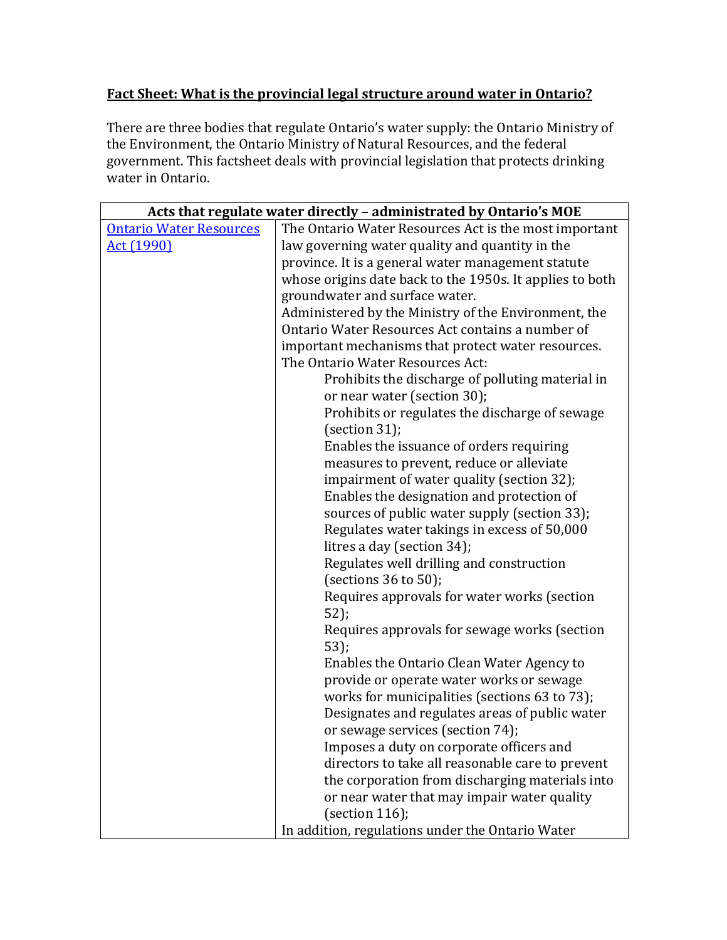## **Fact Sheet: What is the provincial legal structure around water in Ontario?**

There are three bodies that regulate Ontario's water supply: the Ontario Ministry of the Environment, the Ontario Ministry of Natural Resources, and the federal government. This factsheet deals with provincial legislation that protects drinking water in Ontario.

|                                | Acts that regulate water directly - administrated by Ontario's MOE |
|--------------------------------|--------------------------------------------------------------------|
| <b>Ontario Water Resources</b> | The Ontario Water Resources Act is the most important              |
| <u>Act (1990)</u>              | law governing water quality and quantity in the                    |
|                                | province. It is a general water management statute                 |
|                                | whose origins date back to the 1950s. It applies to both           |
|                                | groundwater and surface water.                                     |
|                                | Administered by the Ministry of the Environment, the               |
|                                | Ontario Water Resources Act contains a number of                   |
|                                | important mechanisms that protect water resources.                 |
|                                | The Ontario Water Resources Act:                                   |
|                                | Prohibits the discharge of polluting material in                   |
|                                | or near water (section 30);                                        |
|                                | Prohibits or regulates the discharge of sewage                     |
|                                | (section $31$ );                                                   |
|                                | Enables the issuance of orders requiring                           |
|                                | measures to prevent, reduce or alleviate                           |
|                                | impairment of water quality (section 32);                          |
|                                | Enables the designation and protection of                          |
|                                | sources of public water supply (section 33);                       |
|                                | Regulates water takings in excess of 50,000                        |
|                                | litres a day (section 34);                                         |
|                                | Regulates well drilling and construction                           |
|                                | (sections $36$ to $50$ );                                          |
|                                | Requires approvals for water works (section                        |
|                                | 52);                                                               |
|                                | Requires approvals for sewage works (section<br>$53$ ;             |
|                                | Enables the Ontario Clean Water Agency to                          |
|                                | provide or operate water works or sewage                           |
|                                | works for municipalities (sections 63 to 73);                      |
|                                | Designates and regulates areas of public water                     |
|                                | or sewage services (section 74);                                   |
|                                | Imposes a duty on corporate officers and                           |
|                                | directors to take all reasonable care to prevent                   |
|                                | the corporation from discharging materials into                    |
|                                | or near water that may impair water quality                        |
|                                | (section $116$ );                                                  |
|                                | In addition, regulations under the Ontario Water                   |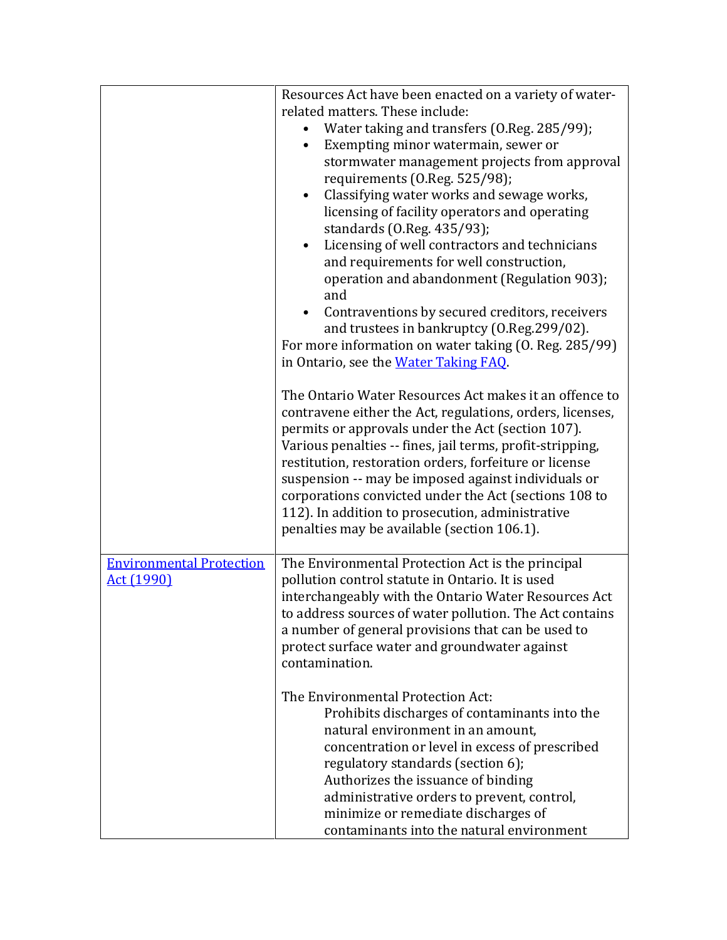|                                               | Resources Act have been enacted on a variety of water-<br>related matters. These include:<br>Water taking and transfers (O.Reg. 285/99);<br>Exempting minor watermain, sewer or<br>stormwater management projects from approval<br>requirements (0.Reg. 525/98);<br>Classifying water works and sewage works,<br>$\bullet$<br>licensing of facility operators and operating<br>standards (O.Reg. 435/93);<br>Licensing of well contractors and technicians<br>$\bullet$                                            |
|-----------------------------------------------|--------------------------------------------------------------------------------------------------------------------------------------------------------------------------------------------------------------------------------------------------------------------------------------------------------------------------------------------------------------------------------------------------------------------------------------------------------------------------------------------------------------------|
|                                               | and requirements for well construction,<br>operation and abandonment (Regulation 903);<br>and<br>Contraventions by secured creditors, receivers<br>and trustees in bankruptcy (O.Reg.299/02).<br>For more information on water taking (0. Reg. 285/99)<br>in Ontario, see the Water Taking FAQ.                                                                                                                                                                                                                    |
|                                               | The Ontario Water Resources Act makes it an offence to<br>contravene either the Act, regulations, orders, licenses,<br>permits or approvals under the Act (section 107).<br>Various penalties -- fines, jail terms, profit-stripping,<br>restitution, restoration orders, forfeiture or license<br>suspension -- may be imposed against individuals or<br>corporations convicted under the Act (sections 108 to<br>112). In addition to prosecution, administrative<br>penalties may be available (section 106.1). |
| <b>Environmental Protection</b><br>Act (1990) | The Environmental Protection Act is the principal<br>pollution control statute in Ontario. It is used<br>interchangeably with the Ontario Water Resources Act<br>to address sources of water pollution. The Act contains<br>a number of general provisions that can be used to<br>protect surface water and groundwater against<br>contamination.                                                                                                                                                                  |
|                                               | The Environmental Protection Act:<br>Prohibits discharges of contaminants into the<br>natural environment in an amount,<br>concentration or level in excess of prescribed<br>regulatory standards (section 6);<br>Authorizes the issuance of binding<br>administrative orders to prevent, control,<br>minimize or remediate discharges of<br>contaminants into the natural environment                                                                                                                             |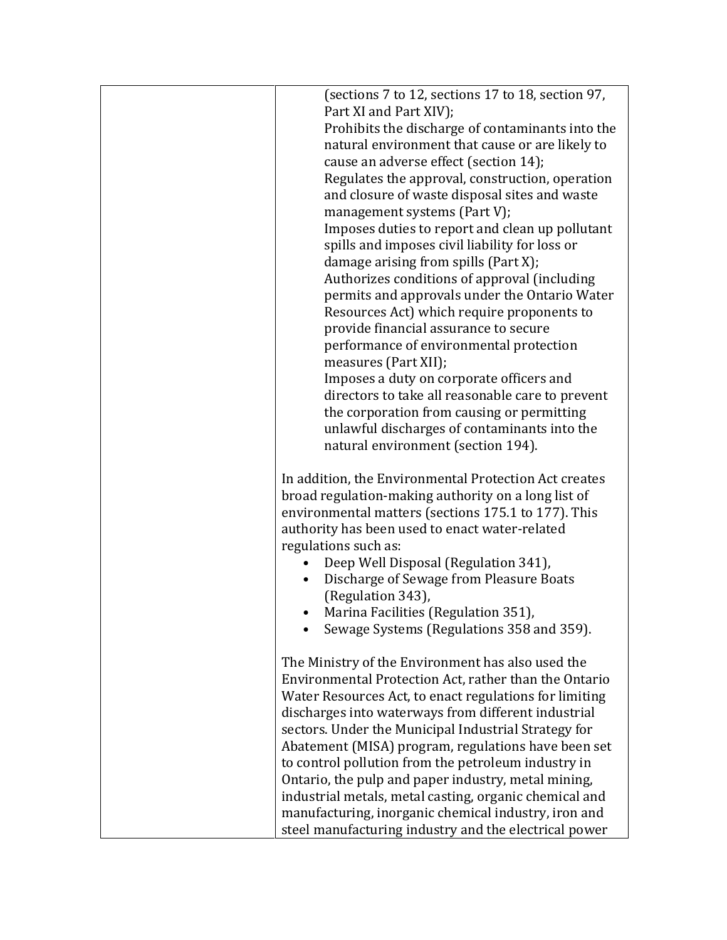| (sections 7 to 12, sections 17 to 18, section 97,                                                             |  |
|---------------------------------------------------------------------------------------------------------------|--|
| Part XI and Part XIV);                                                                                        |  |
| Prohibits the discharge of contaminants into the                                                              |  |
| natural environment that cause or are likely to                                                               |  |
| cause an adverse effect (section 14);                                                                         |  |
| Regulates the approval, construction, operation                                                               |  |
| and closure of waste disposal sites and waste                                                                 |  |
| management systems (Part V);                                                                                  |  |
| Imposes duties to report and clean up pollutant                                                               |  |
| spills and imposes civil liability for loss or                                                                |  |
| damage arising from spills (Part X);                                                                          |  |
| Authorizes conditions of approval (including                                                                  |  |
| permits and approvals under the Ontario Water                                                                 |  |
| Resources Act) which require proponents to                                                                    |  |
| provide financial assurance to secure                                                                         |  |
| performance of environmental protection                                                                       |  |
| measures (Part XII);                                                                                          |  |
| Imposes a duty on corporate officers and                                                                      |  |
| directors to take all reasonable care to prevent                                                              |  |
| the corporation from causing or permitting                                                                    |  |
| unlawful discharges of contaminants into the                                                                  |  |
| natural environment (section 194).                                                                            |  |
| In addition, the Environmental Protection Act creates                                                         |  |
| broad regulation-making authority on a long list of                                                           |  |
| environmental matters (sections 175.1 to 177). This                                                           |  |
| authority has been used to enact water-related                                                                |  |
| regulations such as:                                                                                          |  |
| Deep Well Disposal (Regulation 341),                                                                          |  |
| Discharge of Sewage from Pleasure Boats<br>$\bullet$                                                          |  |
| (Regulation 343),                                                                                             |  |
| Marina Facilities (Regulation 351),                                                                           |  |
| Sewage Systems (Regulations 358 and 359).                                                                     |  |
|                                                                                                               |  |
| The Ministry of the Environment has also used the                                                             |  |
| Environmental Protection Act, rather than the Ontario                                                         |  |
| Water Resources Act, to enact regulations for limiting<br>discharges into waterways from different industrial |  |
|                                                                                                               |  |
| sectors. Under the Municipal Industrial Strategy for<br>Abatement (MISA) program, regulations have been set   |  |
| to control pollution from the petroleum industry in                                                           |  |
| Ontario, the pulp and paper industry, metal mining,                                                           |  |
| industrial metals, metal casting, organic chemical and                                                        |  |
| manufacturing, inorganic chemical industry, iron and                                                          |  |
| steel manufacturing industry and the electrical power                                                         |  |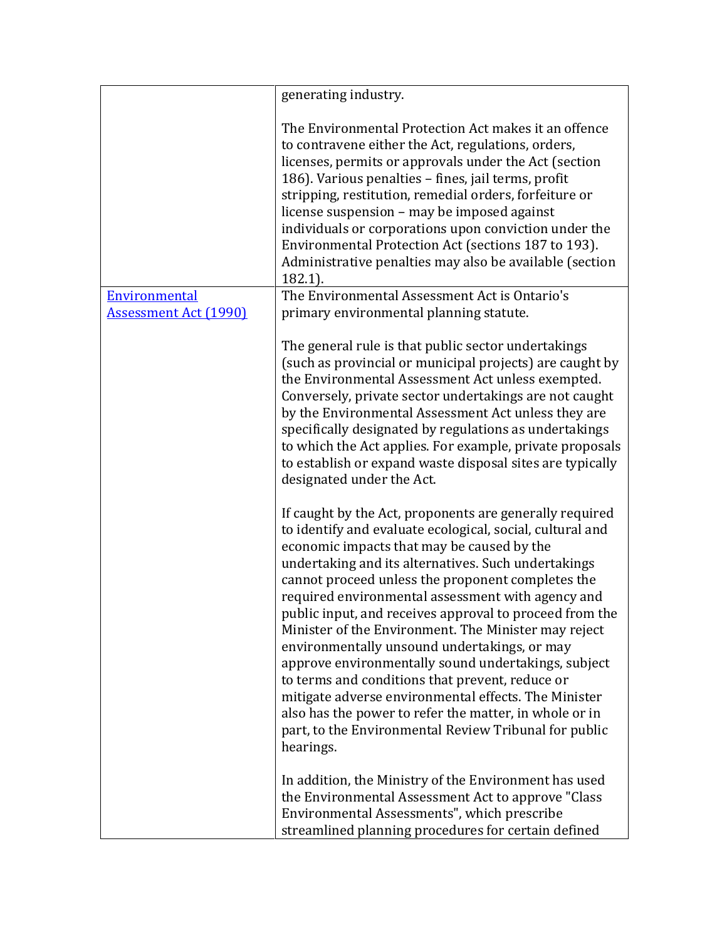|                                               | generating industry.                                                                                                                                                                                                                                                                                                                                                                                                                                                                                                                                                                                                                                                                                                                                                                                     |
|-----------------------------------------------|----------------------------------------------------------------------------------------------------------------------------------------------------------------------------------------------------------------------------------------------------------------------------------------------------------------------------------------------------------------------------------------------------------------------------------------------------------------------------------------------------------------------------------------------------------------------------------------------------------------------------------------------------------------------------------------------------------------------------------------------------------------------------------------------------------|
|                                               | The Environmental Protection Act makes it an offence<br>to contravene either the Act, regulations, orders,<br>licenses, permits or approvals under the Act (section<br>186). Various penalties - fines, jail terms, profit<br>stripping, restitution, remedial orders, forfeiture or<br>license suspension - may be imposed against<br>individuals or corporations upon conviction under the<br>Environmental Protection Act (sections 187 to 193).<br>Administrative penalties may also be available (section<br>$182.1$ ).                                                                                                                                                                                                                                                                             |
| Environmental<br><b>Assessment Act (1990)</b> | The Environmental Assessment Act is Ontario's<br>primary environmental planning statute.                                                                                                                                                                                                                                                                                                                                                                                                                                                                                                                                                                                                                                                                                                                 |
|                                               | The general rule is that public sector undertakings<br>(such as provincial or municipal projects) are caught by<br>the Environmental Assessment Act unless exempted.<br>Conversely, private sector undertakings are not caught<br>by the Environmental Assessment Act unless they are<br>specifically designated by regulations as undertakings<br>to which the Act applies. For example, private proposals<br>to establish or expand waste disposal sites are typically<br>designated under the Act.                                                                                                                                                                                                                                                                                                    |
|                                               | If caught by the Act, proponents are generally required<br>to identify and evaluate ecological, social, cultural and<br>economic impacts that may be caused by the<br>undertaking and its alternatives. Such undertakings<br>cannot proceed unless the proponent completes the<br>required environmental assessment with agency and<br>public input, and receives approval to proceed from the<br>Minister of the Environment. The Minister may reject<br>environmentally unsound undertakings, or may<br>approve environmentally sound undertakings, subject<br>to terms and conditions that prevent, reduce or<br>mitigate adverse environmental effects. The Minister<br>also has the power to refer the matter, in whole or in<br>part, to the Environmental Review Tribunal for public<br>hearings. |
|                                               | In addition, the Ministry of the Environment has used<br>the Environmental Assessment Act to approve "Class<br>Environmental Assessments", which prescribe<br>streamlined planning procedures for certain defined                                                                                                                                                                                                                                                                                                                                                                                                                                                                                                                                                                                        |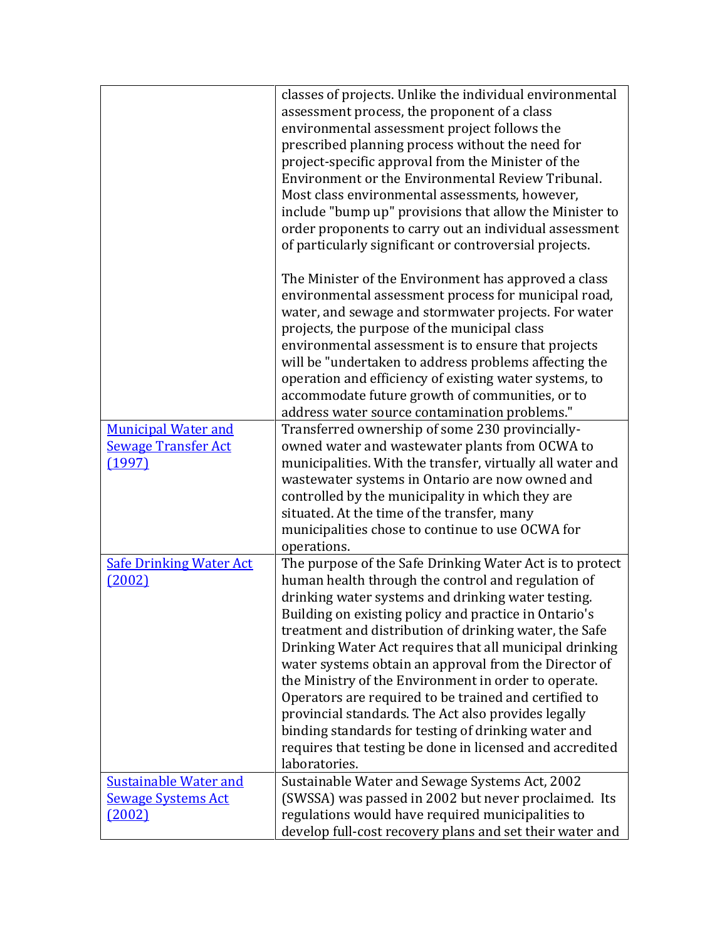|                                | classes of projects. Unlike the individual environmental   |
|--------------------------------|------------------------------------------------------------|
|                                | assessment process, the proponent of a class               |
|                                | environmental assessment project follows the               |
|                                | prescribed planning process without the need for           |
|                                | project-specific approval from the Minister of the         |
|                                | Environment or the Environmental Review Tribunal.          |
|                                |                                                            |
|                                | Most class environmental assessments, however,             |
|                                | include "bump up" provisions that allow the Minister to    |
|                                | order proponents to carry out an individual assessment     |
|                                | of particularly significant or controversial projects.     |
|                                |                                                            |
|                                | The Minister of the Environment has approved a class       |
|                                | environmental assessment process for municipal road,       |
|                                |                                                            |
|                                | water, and sewage and stormwater projects. For water       |
|                                | projects, the purpose of the municipal class               |
|                                | environmental assessment is to ensure that projects        |
|                                | will be "undertaken to address problems affecting the      |
|                                | operation and efficiency of existing water systems, to     |
|                                | accommodate future growth of communities, or to            |
|                                | address water source contamination problems."              |
| <b>Municipal Water and</b>     | Transferred ownership of some 230 provincially-            |
|                                |                                                            |
| <b>Sewage Transfer Act</b>     | owned water and wastewater plants from OCWA to             |
| (1997)                         | municipalities. With the transfer, virtually all water and |
|                                | wastewater systems in Ontario are now owned and            |
|                                | controlled by the municipality in which they are           |
|                                | situated. At the time of the transfer, many                |
|                                | municipalities chose to continue to use OCWA for           |
|                                | operations.                                                |
| <b>Safe Drinking Water Act</b> | The purpose of the Safe Drinking Water Act is to protect   |
|                                |                                                            |
| (2002)                         | human health through the control and regulation of         |
|                                | drinking water systems and drinking water testing.         |
|                                | Building on existing policy and practice in Ontario's      |
|                                | treatment and distribution of drinking water, the Safe     |
|                                | Drinking Water Act requires that all municipal drinking    |
|                                | water systems obtain an approval from the Director of      |
|                                | the Ministry of the Environment in order to operate.       |
|                                | Operators are required to be trained and certified to      |
|                                |                                                            |
|                                | provincial standards. The Act also provides legally        |
|                                | binding standards for testing of drinking water and        |
|                                | requires that testing be done in licensed and accredited   |
|                                | laboratories.                                              |
| <b>Sustainable Water and</b>   | Sustainable Water and Sewage Systems Act, 2002             |
| <b>Sewage Systems Act</b>      | (SWSSA) was passed in 2002 but never proclaimed. Its       |
| (2002)                         | regulations would have required municipalities to          |
|                                |                                                            |
|                                | develop full-cost recovery plans and set their water and   |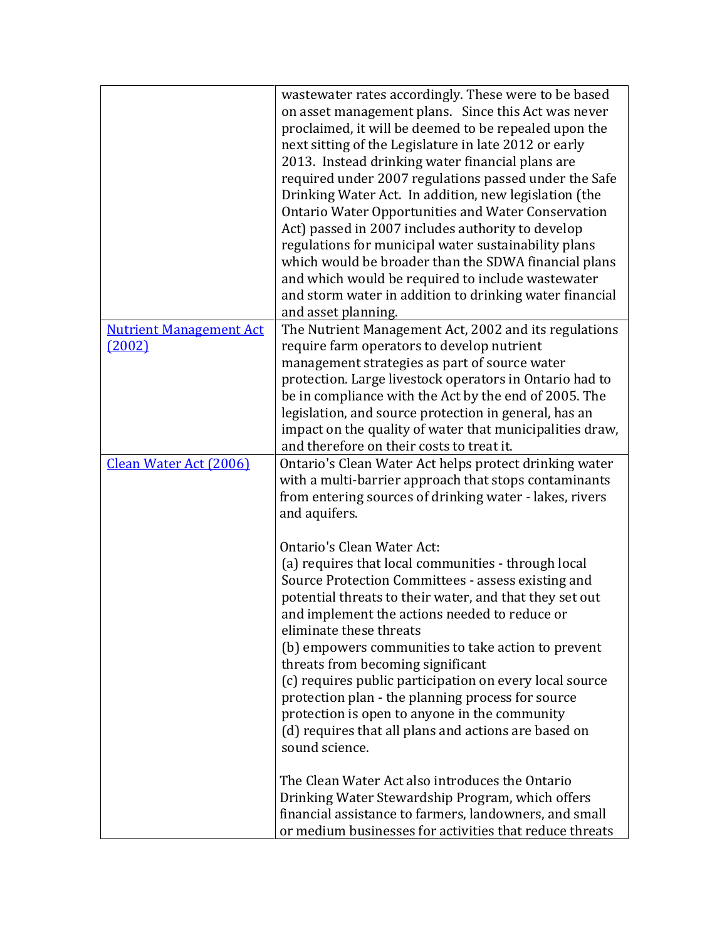|                                          | wastewater rates accordingly. These were to be based<br>on asset management plans. Since this Act was never<br>proclaimed, it will be deemed to be repealed upon the<br>next sitting of the Legislature in late 2012 or early<br>2013. Instead drinking water financial plans are<br>required under 2007 regulations passed under the Safe<br>Drinking Water Act. In addition, new legislation (the<br><b>Ontario Water Opportunities and Water Conservation</b><br>Act) passed in 2007 includes authority to develop<br>regulations for municipal water sustainability plans<br>which would be broader than the SDWA financial plans<br>and which would be required to include wastewater<br>and storm water in addition to drinking water financial<br>and asset planning.                                        |
|------------------------------------------|---------------------------------------------------------------------------------------------------------------------------------------------------------------------------------------------------------------------------------------------------------------------------------------------------------------------------------------------------------------------------------------------------------------------------------------------------------------------------------------------------------------------------------------------------------------------------------------------------------------------------------------------------------------------------------------------------------------------------------------------------------------------------------------------------------------------|
| <b>Nutrient Management Act</b><br>(2002) | The Nutrient Management Act, 2002 and its regulations<br>require farm operators to develop nutrient<br>management strategies as part of source water<br>protection. Large livestock operators in Ontario had to<br>be in compliance with the Act by the end of 2005. The<br>legislation, and source protection in general, has an<br>impact on the quality of water that municipalities draw,<br>and therefore on their costs to treat it.                                                                                                                                                                                                                                                                                                                                                                          |
| Clean Water Act (2006)                   | Ontario's Clean Water Act helps protect drinking water<br>with a multi-barrier approach that stops contaminants<br>from entering sources of drinking water - lakes, rivers<br>and aquifers.<br>Ontario's Clean Water Act:<br>(a) requires that local communities - through local<br>Source Protection Committees - assess existing and<br>potential threats to their water, and that they set out<br>and implement the actions needed to reduce or<br>eliminate these threats<br>(b) empowers communities to take action to prevent<br>threats from becoming significant<br>(c) requires public participation on every local source<br>protection plan - the planning process for source<br>protection is open to anyone in the community<br>(d) requires that all plans and actions are based on<br>sound science. |
|                                          | The Clean Water Act also introduces the Ontario<br>Drinking Water Stewardship Program, which offers<br>financial assistance to farmers, landowners, and small<br>or medium businesses for activities that reduce threats                                                                                                                                                                                                                                                                                                                                                                                                                                                                                                                                                                                            |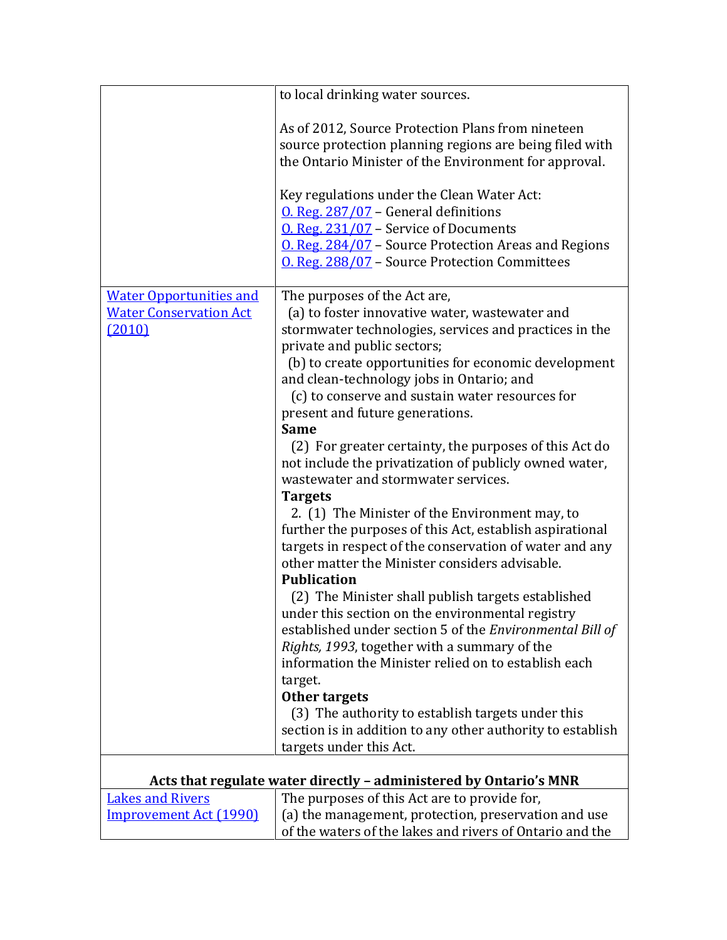|                                                                           | to local drinking water sources.                                                                                                                                                                                                                                                                                                                                                                                                                                                                                                                                                                                                                                                                                                                                                                                                                                                                                                                                                                                                                                                                                                                                                                                                                                        |
|---------------------------------------------------------------------------|-------------------------------------------------------------------------------------------------------------------------------------------------------------------------------------------------------------------------------------------------------------------------------------------------------------------------------------------------------------------------------------------------------------------------------------------------------------------------------------------------------------------------------------------------------------------------------------------------------------------------------------------------------------------------------------------------------------------------------------------------------------------------------------------------------------------------------------------------------------------------------------------------------------------------------------------------------------------------------------------------------------------------------------------------------------------------------------------------------------------------------------------------------------------------------------------------------------------------------------------------------------------------|
|                                                                           | As of 2012, Source Protection Plans from nineteen<br>source protection planning regions are being filed with<br>the Ontario Minister of the Environment for approval.<br>Key regulations under the Clean Water Act:<br>O. Reg. $287/07$ – General definitions<br>$0.$ Reg. $231/07$ – Service of Documents<br>O. Reg. 284/07 - Source Protection Areas and Regions<br>O. Reg. 288/07 - Source Protection Committees                                                                                                                                                                                                                                                                                                                                                                                                                                                                                                                                                                                                                                                                                                                                                                                                                                                     |
| <b>Water Opportunities and</b><br><b>Water Conservation Act</b><br>(2010) | The purposes of the Act are,<br>(a) to foster innovative water, wastewater and<br>stormwater technologies, services and practices in the<br>private and public sectors;<br>(b) to create opportunities for economic development<br>and clean-technology jobs in Ontario; and<br>(c) to conserve and sustain water resources for<br>present and future generations.<br><b>Same</b><br>(2) For greater certainty, the purposes of this Act do<br>not include the privatization of publicly owned water,<br>wastewater and stormwater services.<br><b>Targets</b><br>2. (1) The Minister of the Environment may, to<br>further the purposes of this Act, establish aspirational<br>targets in respect of the conservation of water and any<br>other matter the Minister considers advisable.<br><b>Publication</b><br>(2) The Minister shall publish targets established<br>under this section on the environmental registry<br>established under section 5 of the Environmental Bill of<br>Rights, 1993, together with a summary of the<br>information the Minister relied on to establish each<br>target.<br>Other targets<br>(3) The authority to establish targets under this<br>section is in addition to any other authority to establish<br>targets under this Act. |
|                                                                           |                                                                                                                                                                                                                                                                                                                                                                                                                                                                                                                                                                                                                                                                                                                                                                                                                                                                                                                                                                                                                                                                                                                                                                                                                                                                         |
|                                                                           | Acts that regulate water directly - administered by Ontario's MNR                                                                                                                                                                                                                                                                                                                                                                                                                                                                                                                                                                                                                                                                                                                                                                                                                                                                                                                                                                                                                                                                                                                                                                                                       |
| <b>Lakes and Rivers</b>                                                   | The purposes of this Act are to provide for,                                                                                                                                                                                                                                                                                                                                                                                                                                                                                                                                                                                                                                                                                                                                                                                                                                                                                                                                                                                                                                                                                                                                                                                                                            |
| <b>Improvement Act (1990)</b>                                             | (a) the management, protection, preservation and use<br>of the waters of the lakes and rivers of Ontario and the                                                                                                                                                                                                                                                                                                                                                                                                                                                                                                                                                                                                                                                                                                                                                                                                                                                                                                                                                                                                                                                                                                                                                        |

 $\mathbf l$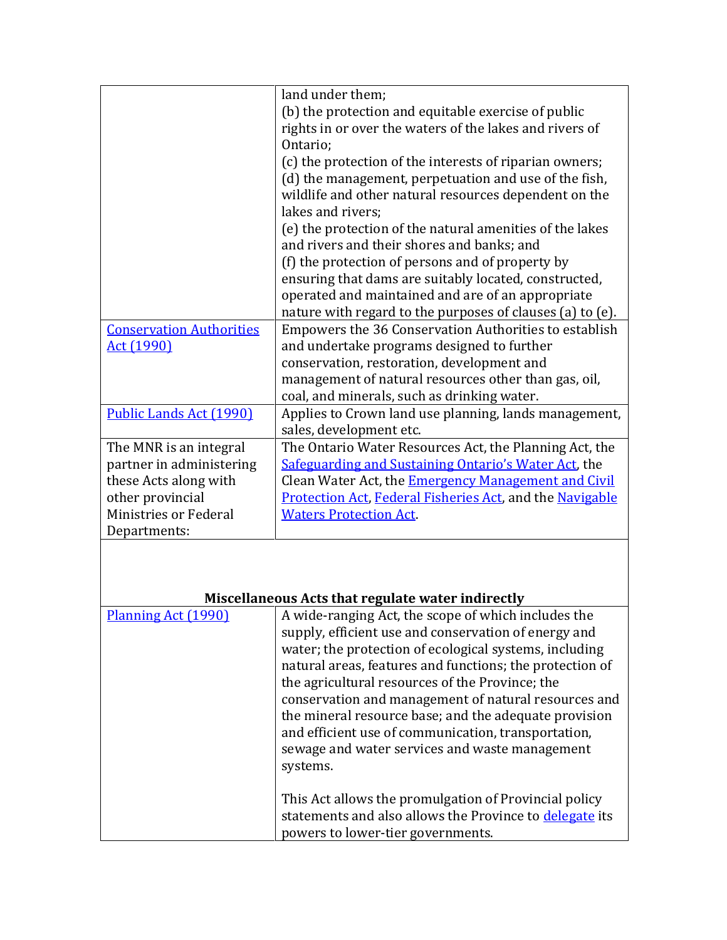|                                 | land under them;                                                |
|---------------------------------|-----------------------------------------------------------------|
|                                 | (b) the protection and equitable exercise of public             |
|                                 | rights in or over the waters of the lakes and rivers of         |
|                                 | Ontario;                                                        |
|                                 | (c) the protection of the interests of riparian owners;         |
|                                 | (d) the management, perpetuation and use of the fish,           |
|                                 | wildlife and other natural resources dependent on the           |
|                                 | lakes and rivers;                                               |
|                                 | (e) the protection of the natural amenities of the lakes        |
|                                 | and rivers and their shores and banks; and                      |
|                                 | (f) the protection of persons and of property by                |
|                                 | ensuring that dams are suitably located, constructed,           |
|                                 | operated and maintained and are of an appropriate               |
|                                 | nature with regard to the purposes of clauses (a) to (e).       |
| <b>Conservation Authorities</b> | Empowers the 36 Conservation Authorities to establish           |
| <u>Act (1990)</u>               | and undertake programs designed to further                      |
|                                 | conservation, restoration, development and                      |
|                                 | management of natural resources other than gas, oil,            |
|                                 | coal, and minerals, such as drinking water.                     |
| Public Lands Act (1990)         | Applies to Crown land use planning, lands management,           |
|                                 | sales, development etc.                                         |
| The MNR is an integral          | The Ontario Water Resources Act, the Planning Act, the          |
| partner in administering        | Safeguarding and Sustaining Ontario's Water Act, the            |
| these Acts along with           | Clean Water Act, the Emergency Management and Civil             |
| other provincial                | <b>Protection Act, Federal Fisheries Act, and the Navigable</b> |
| Ministries or Federal           | <b>Waters Protection Act.</b>                                   |
| Departments:                    |                                                                 |
|                                 |                                                                 |
|                                 |                                                                 |
|                                 |                                                                 |
|                                 | Miscellaneous Acts that regulate water indirectly               |
| Planning Act (1990)             | A wide-ranging Act, the scope of which includes the             |
|                                 | supply, efficient use and conservation of energy and            |
|                                 | water; the protection of ecological systems, including          |
|                                 | natural areas, features and functions; the protection of        |
|                                 | the agricultural resources of the Province; the                 |
|                                 | conservation and management of natural resources and            |
|                                 | the mineral resource base; and the adequate provision           |
|                                 | and efficient use of communication, transportation,             |
|                                 | sewage and water services and waste management                  |
|                                 | systems.                                                        |
|                                 |                                                                 |
|                                 |                                                                 |

This Act allows the promulgation of Provincial policy statements and also allows the Province to **delegate** its powers to lower-tier governments.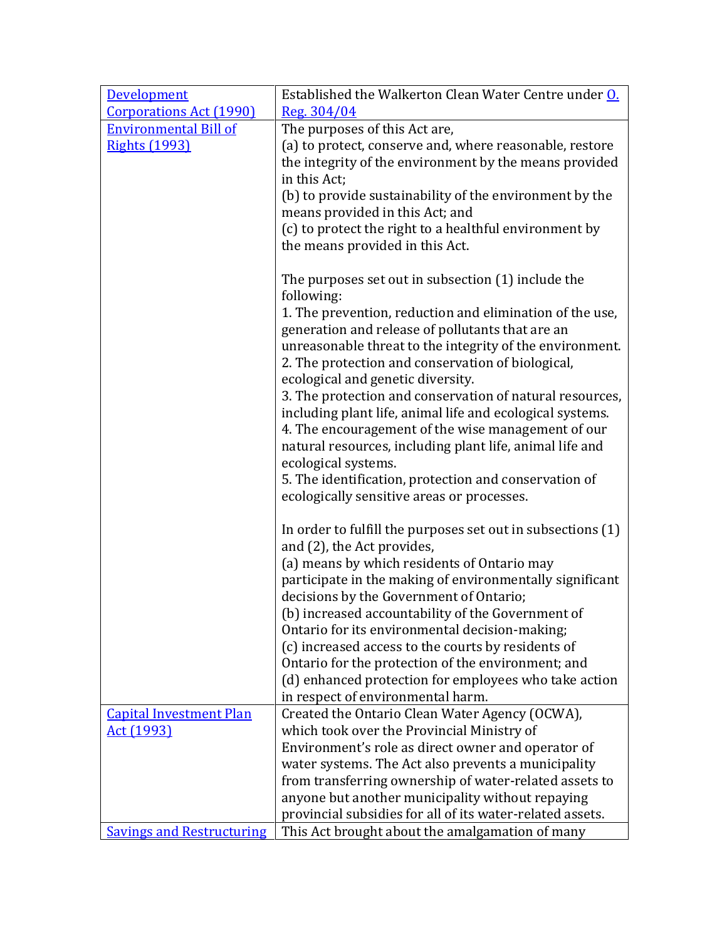| Development                      | Established the Walkerton Clean Water Centre under O.                                            |
|----------------------------------|--------------------------------------------------------------------------------------------------|
| <b>Corporations Act (1990)</b>   | Reg. 304/04                                                                                      |
| <b>Environmental Bill of</b>     | The purposes of this Act are,                                                                    |
| <b>Rights (1993)</b>             | (a) to protect, conserve and, where reasonable, restore                                          |
|                                  | the integrity of the environment by the means provided                                           |
|                                  | in this Act;                                                                                     |
|                                  | (b) to provide sustainability of the environment by the                                          |
|                                  | means provided in this Act; and                                                                  |
|                                  | (c) to protect the right to a healthful environment by                                           |
|                                  | the means provided in this Act.                                                                  |
|                                  | The purposes set out in subsection (1) include the                                               |
|                                  | following:                                                                                       |
|                                  | 1. The prevention, reduction and elimination of the use,                                         |
|                                  | generation and release of pollutants that are an                                                 |
|                                  | unreasonable threat to the integrity of the environment.                                         |
|                                  | 2. The protection and conservation of biological,                                                |
|                                  | ecological and genetic diversity.                                                                |
|                                  | 3. The protection and conservation of natural resources,                                         |
|                                  | including plant life, animal life and ecological systems.                                        |
|                                  | 4. The encouragement of the wise management of our                                               |
|                                  | natural resources, including plant life, animal life and                                         |
|                                  | ecological systems.                                                                              |
|                                  | 5. The identification, protection and conservation of                                            |
|                                  | ecologically sensitive areas or processes.                                                       |
|                                  | In order to fulfill the purposes set out in subsections (1)                                      |
|                                  | and (2), the Act provides,                                                                       |
|                                  | (a) means by which residents of Ontario may                                                      |
|                                  | participate in the making of environmentally significant                                         |
|                                  | decisions by the Government of Ontario;                                                          |
|                                  | (b) increased accountability of the Government of                                                |
|                                  | Ontario for its environmental decision-making;                                                   |
|                                  | (c) increased access to the courts by residents of                                               |
|                                  | Ontario for the protection of the environment; and                                               |
|                                  | (d) enhanced protection for employees who take action                                            |
|                                  | in respect of environmental harm.                                                                |
| <b>Capital Investment Plan</b>   | Created the Ontario Clean Water Agency (OCWA),                                                   |
| Act (1993)                       | which took over the Provincial Ministry of<br>Environment's role as direct owner and operator of |
|                                  | water systems. The Act also prevents a municipality                                              |
|                                  | from transferring ownership of water-related assets to                                           |
|                                  | anyone but another municipality without repaying                                                 |
|                                  | provincial subsidies for all of its water-related assets.                                        |
| <b>Savings and Restructuring</b> | This Act brought about the amalgamation of many                                                  |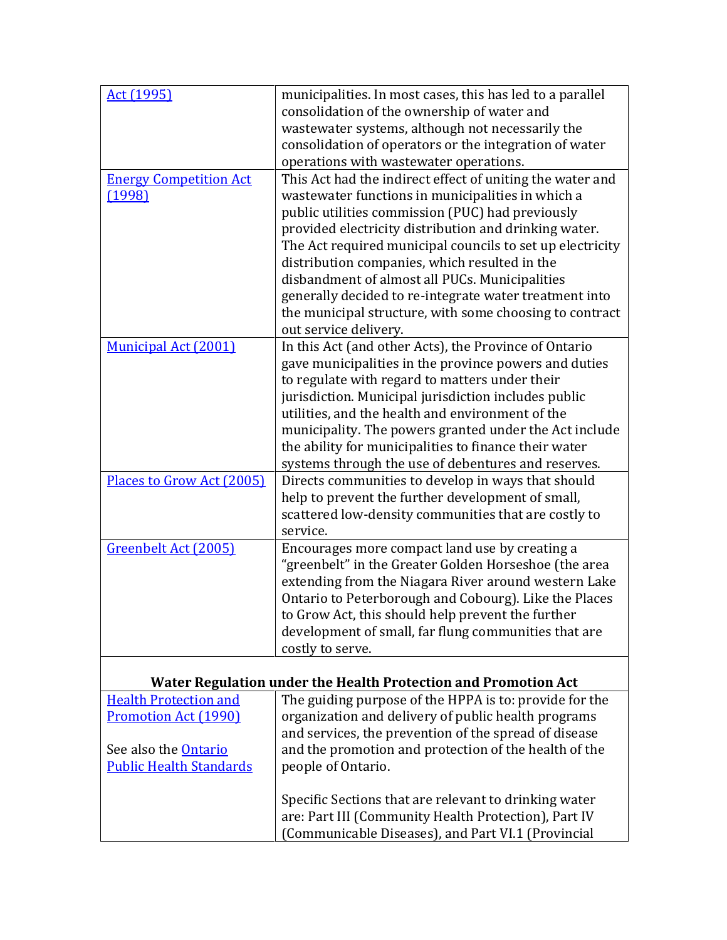| Act (1995)                                                  | municipalities. In most cases, this has led to a parallel                                                     |
|-------------------------------------------------------------|---------------------------------------------------------------------------------------------------------------|
|                                                             | consolidation of the ownership of water and                                                                   |
|                                                             | wastewater systems, although not necessarily the                                                              |
|                                                             | consolidation of operators or the integration of water                                                        |
|                                                             | operations with wastewater operations.                                                                        |
| <b>Energy Competition Act</b>                               | This Act had the indirect effect of uniting the water and                                                     |
| (1998)                                                      | wastewater functions in municipalities in which a                                                             |
|                                                             | public utilities commission (PUC) had previously                                                              |
|                                                             | provided electricity distribution and drinking water.                                                         |
|                                                             | The Act required municipal councils to set up electricity                                                     |
|                                                             | distribution companies, which resulted in the                                                                 |
|                                                             | disbandment of almost all PUCs. Municipalities                                                                |
|                                                             | generally decided to re-integrate water treatment into                                                        |
|                                                             | the municipal structure, with some choosing to contract                                                       |
|                                                             | out service delivery.                                                                                         |
| <b>Municipal Act (2001)</b>                                 | In this Act (and other Acts), the Province of Ontario                                                         |
|                                                             | gave municipalities in the province powers and duties                                                         |
|                                                             | to regulate with regard to matters under their                                                                |
|                                                             | jurisdiction. Municipal jurisdiction includes public<br>utilities, and the health and environment of the      |
|                                                             | municipality. The powers granted under the Act include                                                        |
|                                                             | the ability for municipalities to finance their water                                                         |
|                                                             | systems through the use of debentures and reserves.                                                           |
| Places to Grow Act (2005)                                   | Directs communities to develop in ways that should                                                            |
|                                                             | help to prevent the further development of small,                                                             |
|                                                             | scattered low-density communities that are costly to                                                          |
|                                                             | service.                                                                                                      |
| Greenbelt Act (2005)                                        | Encourages more compact land use by creating a                                                                |
|                                                             | "greenbelt" in the Greater Golden Horseshoe (the area                                                         |
|                                                             | extending from the Niagara River around western Lake                                                          |
|                                                             | Ontario to Peterborough and Cobourg). Like the Places                                                         |
|                                                             | to Grow Act, this should help prevent the further                                                             |
|                                                             | development of small, far flung communities that are                                                          |
|                                                             | costly to serve.                                                                                              |
|                                                             |                                                                                                               |
|                                                             | Water Regulation under the Health Protection and Promotion Act                                                |
| <b>Health Protection and</b><br><b>Promotion Act (1990)</b> | The guiding purpose of the HPPA is to: provide for the<br>organization and delivery of public health programs |
|                                                             | and services, the prevention of the spread of disease                                                         |
| See also the <b>Ontario</b>                                 | and the promotion and protection of the health of the                                                         |
| <b>Public Health Standards</b>                              | people of Ontario.                                                                                            |
|                                                             |                                                                                                               |
|                                                             | Specific Sections that are relevant to drinking water                                                         |
|                                                             | are: Part III (Community Health Protection), Part IV                                                          |
|                                                             | (Communicable Diseases), and Part VI.1 (Provincial                                                            |